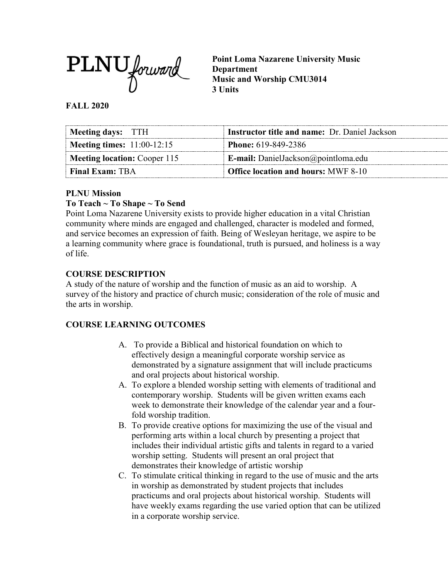

**Point Loma Nazarene University Music Department Music and Worship CMU3014 3 Units**

#### **FALL 2020**

| Meeting days: TTH                 | <b>Instructor title and name:</b> Dr. Daniel Jackson |
|-----------------------------------|------------------------------------------------------|
| <b>Meeting times:</b> 11:00-12:15 | <b>Phone:</b> 619-849-2386                           |
| Meeting location: Cooper 115      | <b>E-mail:</b> DanielJackson@pointloma.edu           |
| <b>Final Exam: TBA</b>            | Office location and hours: MWF 8-10                  |

## **PLNU Mission**

## **To Teach ~ To Shape ~ To Send**

Point Loma Nazarene University exists to provide higher education in a vital Christian community where minds are engaged and challenged, character is modeled and formed, and service becomes an expression of faith. Being of Wesleyan heritage, we aspire to be a learning community where grace is foundational, truth is pursued, and holiness is a way of life.

## **COURSE DESCRIPTION**

A study of the nature of worship and the function of music as an aid to worship. A survey of the history and practice of church music; consideration of the role of music and the arts in worship.

## **COURSE LEARNING OUTCOMES**

- A. To provide a Biblical and historical foundation on which to effectively design a meaningful corporate worship service as demonstrated by a signature assignment that will include practicums and oral projects about historical worship.
- A. To explore a blended worship setting with elements of traditional and contemporary worship. Students will be given written exams each week to demonstrate their knowledge of the calendar year and a fourfold worship tradition.
- B. To provide creative options for maximizing the use of the visual and performing arts within a local church by presenting a project that includes their individual artistic gifts and talents in regard to a varied worship setting. Students will present an oral project that demonstrates their knowledge of artistic worship
- C. To stimulate critical thinking in regard to the use of music and the arts in worship as demonstrated by student projects that includes practicums and oral projects about historical worship. Students will have weekly exams regarding the use varied option that can be utilized in a corporate worship service.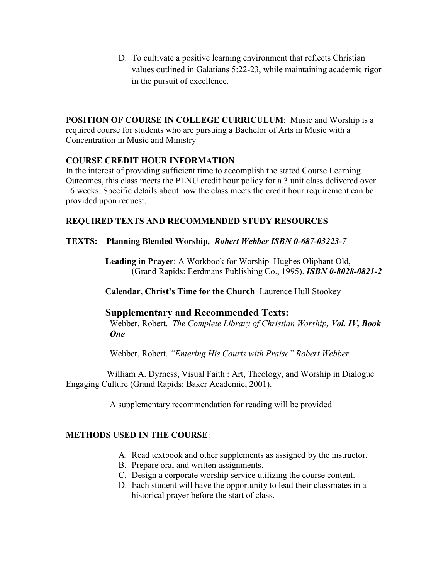D. To cultivate a positive learning environment that reflects Christian values outlined in Galatians 5:22-23, while maintaining academic rigor in the pursuit of excellence.

**POSITION OF COURSE IN COLLEGE CURRICULUM**: Music and Worship is a required course for students who are pursuing a Bachelor of Arts in Music with a Concentration in Music and Ministry

#### **COURSE CREDIT HOUR INFORMATION**

In the interest of providing sufficient time to accomplish the stated Course Learning Outcomes, this class meets the PLNU credit hour policy for a 3 unit class delivered over 16 weeks. Specific details about how the class meets the credit hour requirement can be provided upon request.

## **REQUIRED TEXTS AND RECOMMENDED STUDY RESOURCES**

#### **TEXTS: Planning Blended Worship***, Robert Webber ISBN 0-687-03223-7*

**Leading in Prayer**: A Workbook for Worship Hughes Oliphant Old, (Grand Rapids: Eerdmans Publishing Co., 1995). *ISBN 0-8028-0821-2*

**Calendar, Christ's Time for the Church**Laurence Hull Stookey

## **Supplementary and Recommended Texts:**

 Webber, Robert. *The Complete Library of Christian Worship, Vol. IV, Book One* 

Webber, Robert. *"Entering His Courts with Praise" Robert Webber*

William A. Dyrness, Visual Faith : Art, Theology, and Worship in Dialogue Engaging Culture (Grand Rapids: Baker Academic, 2001).

A supplementary recommendation for reading will be provided

#### **METHODS USED IN THE COURSE**:

- A. Read textbook and other supplements as assigned by the instructor.
- B. Prepare oral and written assignments.
- C. Design a corporate worship service utilizing the course content.
- D. Each student will have the opportunity to lead their classmates in a historical prayer before the start of class.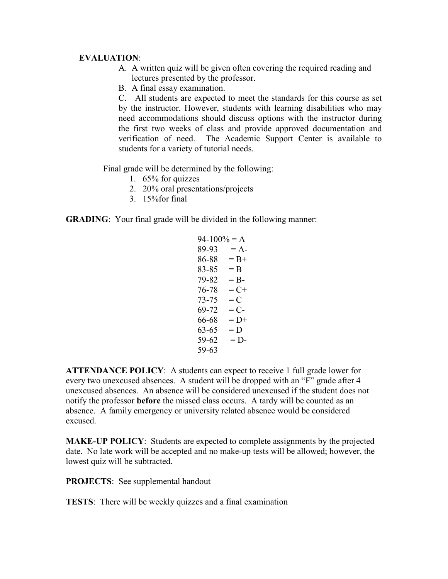#### **EVALUATION**:

- A. A written quiz will be given often covering the required reading and lectures presented by the professor.
- B. A final essay examination.

C. All students are expected to meet the standards for this course as set by the instructor. However, students with learning disabilities who may need accommodations should discuss options with the instructor during the first two weeks of class and provide approved documentation and verification of need. The Academic Support Center is available to students for a variety of tutorial needs.

Final grade will be determined by the following:

- 1. 65% for quizzes
- 2. 20% oral presentations/projects
- 3. 15%for final

**GRADING**: Your final grade will be divided in the following manner:

 $94-100% = A$  $89-93 = A$  $86-88 = B+$  $83-85 = B$  $79-82 = B$  $76-78 = C+$  $73-75 = C$  $69-72 = C$  $66-68 = D+$  $63-65 = D$  $59-62 = D$ 59-63

**ATTENDANCE POLICY**: A students can expect to receive 1 full grade lower for every two unexcused absences. A student will be dropped with an "F" grade after 4 unexcused absences. An absence will be considered unexcused if the student does not notify the professor **before** the missed class occurs. A tardy will be counted as an absence. A family emergency or university related absence would be considered excused.

**MAKE-UP POLICY**: Students are expected to complete assignments by the projected date. No late work will be accepted and no make-up tests will be allowed; however, the lowest quiz will be subtracted.

**PROJECTS**: See supplemental handout

**TESTS**: There will be weekly quizzes and a final examination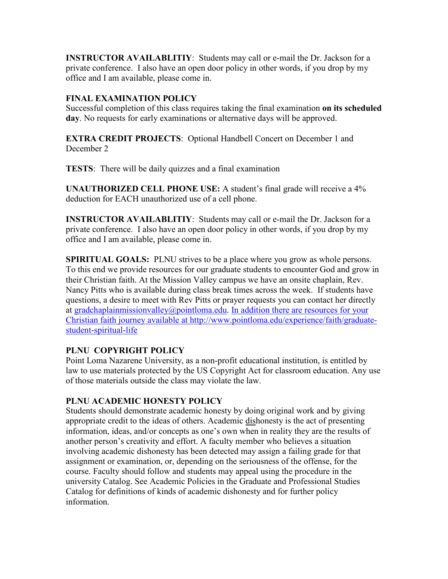**INSTRUCTOR AVAILABLITIY**: Students may call or e-mail the Dr. Jackson for a private conference. I also have an open door policy in other words, if you drop by my office and I am available, please come in.

# **FINAL EXAMINATION POLICY**

Successful completion of this class requires taking the final examination **on its scheduled day**. No requests for early examinations or alternative days will be approved.

**EXTRA CREDIT PROJECTS**: Optional Handbell Concert on December 1 and December 2

**TESTS**: There will be daily quizzes and a final examination

**UNAUTHORIZED CELL PHONE USE:** A student's final grade will receive a 4% deduction for EACH unauthorized use of a cell phone.

**INSTRUCTOR AVAILABLITIY**: Students may call or e-mail the Dr. Jackson for a private conference. I also have an open door policy in other words, if you drop by my office and I am available, please come in.

**SPIRITUAL GOALS:** PLNU strives to be a place where you grow as whole persons. To this end we provide resources for our graduate students to encounter God and grow in their Christian faith. At the Mission Valley campus we have an onsite chaplain, Rev. Nancy Pitts who is available during class break times across the week. If students have questions, a desire to meet with Rev Pitts or prayer requests you can contact her directly at [gradchaplainmissionvalley@pointloma.edu.](mailto:gradchaplainmissionvalley@pointloma.edu) In addition there are resources for your Christian faith journey available at [http://www.pointloma.edu/experience/faith/graduate](mailto:gradchaplainmissionvalley@pointloma.edu.%20%20%0dIn%20addition%20there%20are%20resources%20for%20your%20Christian%20faith%20journey%20are%20available%20at%20http://www.pointloma.edu/SpiritualDevelopment/Graduate_Students.htm.%0b)[student-spiritual-life](mailto:gradchaplainmissionvalley@pointloma.edu.%20%20%0dIn%20addition%20there%20are%20resources%20for%20your%20Christian%20faith%20journey%20are%20available%20at%20http://www.pointloma.edu/SpiritualDevelopment/Graduate_Students.htm.%0b)

# **PLNU COPYRIGHT POLICY**

Point Loma Nazarene University, as a non-profit educational institution, is entitled by law to use materials protected by the US Copyright Act for classroom education. Any use of those materials outside the class may violate the law.

## **PLNU ACADEMIC HONESTY POLICY**

Students should demonstrate academic honesty by doing original work and by giving appropriate credit to the ideas of others. Academic dishonesty is the act of presenting information, ideas, and/or concepts as one's own when in reality they are the results of another person's creativity and effort. A faculty member who believes a situation involving academic dishonesty has been detected may assign a failing grade for that assignment or examination, or, depending on the seriousness of the offense, for the course. Faculty should follow and students may appeal using the procedure in the university Catalog. See Academic Policies in the Graduate and Professional Studies Catalog for definitions of kinds of academic dishonesty and for further policy information.